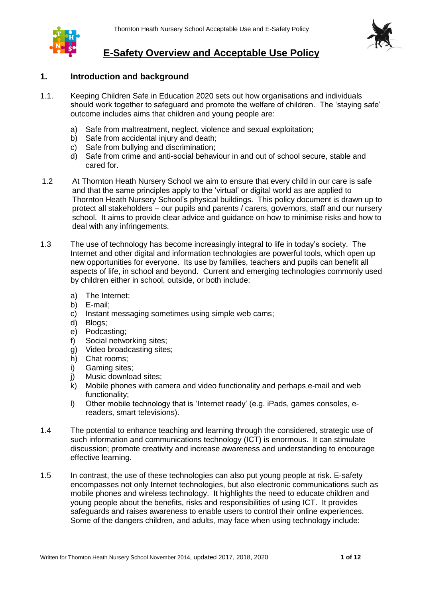

# **E-Safety Overview and Acceptable Use Policy**

# **1. Introduction and background**

- 1.1. Keeping Children Safe in Education 2020 sets out how organisations and individuals should work together to safeguard and promote the welfare of children. The 'staying safe' outcome includes aims that children and young people are:
	- a) Safe from maltreatment, neglect, violence and sexual exploitation;
	- b) Safe from accidental injury and death;
	- c) Safe from bullying and discrimination;
	- d) Safe from crime and anti-social behaviour in and out of school secure, stable and cared for.
- 1.2 At Thornton Heath Nursery School we aim to ensure that every child in our care is safe and that the same principles apply to the 'virtual' or digital world as are applied to Thornton Heath Nursery School's physical buildings. This policy document is drawn up to protect all stakeholders – our pupils and parents / carers, governors, staff and our nursery school. It aims to provide clear advice and guidance on how to minimise risks and how to deal with any infringements.
- 1.3 The use of technology has become increasingly integral to life in today's society. The Internet and other digital and information technologies are powerful tools, which open up new opportunities for everyone. Its use by families, teachers and pupils can benefit all aspects of life, in school and beyond. Current and emerging technologies commonly used by children either in school, outside, or both include:
	- a) The Internet;
	- b) E-mail;
	- c) Instant messaging sometimes using simple web cams;
	- d) Blogs;
	- e) Podcasting;
	- f) Social networking sites;
	- g) Video broadcasting sites;
	- h) Chat rooms;
	- i) Gaming sites;
	- j) Music download sites;
	- $k$ ) Mobile phones with camera and video functionality and perhaps e-mail and web functionality;
	- l) Other mobile technology that is 'Internet ready' (e.g. iPads, games consoles, ereaders, smart televisions).
- 1.4 The potential to enhance teaching and learning through the considered, strategic use of such information and communications technology (ICT) is enormous. It can stimulate discussion; promote creativity and increase awareness and understanding to encourage effective learning.
- 1.5 In contrast, the use of these technologies can also put young people at risk. E-safety encompasses not only Internet technologies, but also electronic communications such as mobile phones and wireless technology. It highlights the need to educate children and young people about the benefits, risks and responsibilities of using ICT. It provides safeguards and raises awareness to enable users to control their online experiences. Some of the dangers children, and adults, may face when using technology include: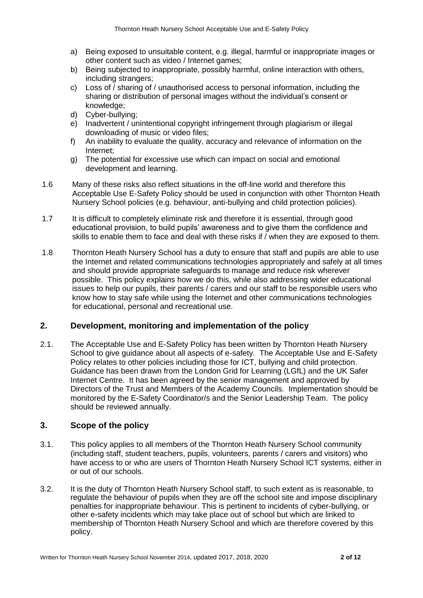- a) Being exposed to unsuitable content, e.g. illegal, harmful or inappropriate images or other content such as video / Internet games;
- b) Being subjected to inappropriate, possibly harmful, online interaction with others, including strangers;
- c) Loss of / sharing of / unauthorised access to personal information, including the sharing or distribution of personal images without the individual's consent or knowledge;
- d) Cyber-bullying;
- e) Inadvertent / unintentional copyright infringement through plagiarism or illegal downloading of music or video files;
- f) An inability to evaluate the quality, accuracy and relevance of information on the Internet;
- g) The potential for excessive use which can impact on social and emotional development and learning.
- 1.6 Many of these risks also reflect situations in the off-line world and therefore this Acceptable Use E-Safety Policy should be used in conjunction with other Thornton Heath Nursery School policies (e.g. behaviour, anti-bullying and child protection policies).
- 1.7 It is difficult to completely eliminate risk and therefore it is essential, through good educational provision, to build pupils' awareness and to give them the confidence and skills to enable them to face and deal with these risks if / when they are exposed to them.
- 1.8 Thornton Heath Nursery School has a duty to ensure that staff and pupils are able to use the Internet and related communications technologies appropriately and safely at all times and should provide appropriate safeguards to manage and reduce risk wherever possible. This policy explains how we do this, while also addressing wider educational issues to help our pupils, their parents / carers and our staff to be responsible users who know how to stay safe while using the Internet and other communications technologies for educational, personal and recreational use.

# **2. Development, monitoring and implementation of the policy**

2.1. The Acceptable Use and E-Safety Policy has been written by Thornton Heath Nursery School to give guidance about all aspects of e-safety. The Acceptable Use and E-Safety Policy relates to other policies including those for ICT, bullying and child protection. Guidance has been drawn from the London Grid for Learning (LGfL) and the UK Safer Internet Centre. It has been agreed by the senior management and approved by Directors of the Trust and Members of the Academy Councils. Implementation should be monitored by the E-Safety Coordinator/s and the Senior Leadership Team. The policy should be reviewed annually.

# **3. Scope of the policy**

- 3.1. This policy applies to all members of the Thornton Heath Nursery School community (including staff, student teachers, pupils, volunteers, parents / carers and visitors) who have access to or who are users of Thornton Heath Nursery School ICT systems, either in or out of our schools.
- 3.2. It is the duty of Thornton Heath Nursery School staff, to such extent as is reasonable, to regulate the behaviour of pupils when they are off the school site and impose disciplinary penalties for inappropriate behaviour. This is pertinent to incidents of cyber-bullying, or other e-safety incidents which may take place out of school but which are linked to membership of Thornton Heath Nursery School and which are therefore covered by this policy.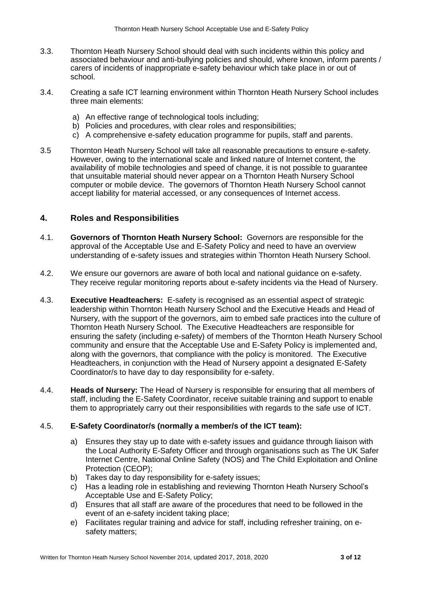- 3.3. Thornton Heath Nursery School should deal with such incidents within this policy and associated behaviour and anti-bullying policies and should, where known, inform parents / carers of incidents of inappropriate e-safety behaviour which take place in or out of school.
- 3.4. Creating a safe ICT learning environment within Thornton Heath Nursery School includes three main elements:
	- a) An effective range of technological tools including;
	- b) Policies and procedures, with clear roles and responsibilities;
	- c) A comprehensive e-safety education programme for pupils, staff and parents.
- 3.5 Thornton Heath Nursery School will take all reasonable precautions to ensure e-safety. However, owing to the international scale and linked nature of Internet content, the availability of mobile technologies and speed of change, it is not possible to guarantee that unsuitable material should never appear on a Thornton Heath Nursery School computer or mobile device. The governors of Thornton Heath Nursery School cannot accept liability for material accessed, or any consequences of Internet access.

# **4. Roles and Responsibilities**

- 4.1. **Governors of Thornton Heath Nursery School:** Governors are responsible for the approval of the Acceptable Use and E-Safety Policy and need to have an overview understanding of e-safety issues and strategies within Thornton Heath Nursery School.
- 4.2. We ensure our governors are aware of both local and national guidance on e-safety. They receive regular monitoring reports about e-safety incidents via the Head of Nursery.
- 4.3. **Executive Headteachers:** E-safety is recognised as an essential aspect of strategic leadership within Thornton Heath Nursery School and the Executive Heads and Head of Nursery, with the support of the governors, aim to embed safe practices into the culture of Thornton Heath Nursery School. The Executive Headteachers are responsible for ensuring the safety (including e-safety) of members of the Thornton Heath Nursery School community and ensure that the Acceptable Use and E-Safety Policy is implemented and, along with the governors, that compliance with the policy is monitored. The Executive Headteachers, in conjunction with the Head of Nursery appoint a designated E-Safety Coordinator/s to have day to day responsibility for e-safety.
- 4.4. **Heads of Nursery:** The Head of Nursery is responsible for ensuring that all members of staff, including the E-Safety Coordinator, receive suitable training and support to enable them to appropriately carry out their responsibilities with regards to the safe use of ICT.

#### 4.5. **E-Safety Coordinator/s (normally a member/s of the ICT team):**

- a) Ensures they stay up to date with e-safety issues and guidance through liaison with the Local Authority E-Safety Officer and through organisations such as The UK Safer Internet Centre, National Online Safety (NOS) and The Child Exploitation and Online Protection (CEOP);
- b) Takes day to day responsibility for e-safety issues;
- c) Has a leading role in establishing and reviewing Thornton Heath Nursery School's Acceptable Use and E-Safety Policy;
- d) Ensures that all staff are aware of the procedures that need to be followed in the event of an e-safety incident taking place;
- e) Facilitates regular training and advice for staff, including refresher training, on esafety matters;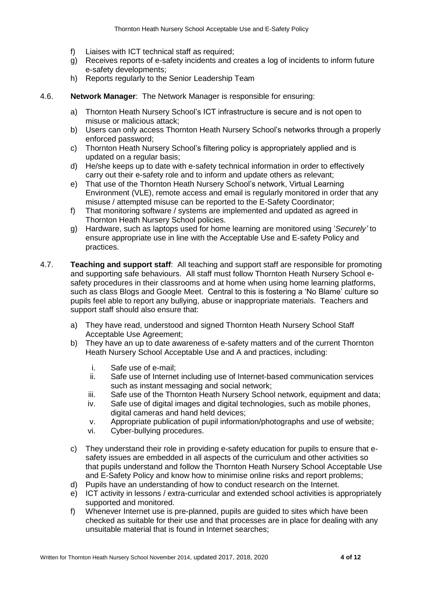- f) Liaises with ICT technical staff as required:
- g) Receives reports of e-safety incidents and creates a log of incidents to inform future e-safety developments;
- h) Reports regularly to the Senior Leadership Team
- 4.6. **Network Manager**: The Network Manager is responsible for ensuring:
	- a) Thornton Heath Nursery School's ICT infrastructure is secure and is not open to misuse or malicious attack;
	- b) Users can only access Thornton Heath Nursery School's networks through a properly enforced password;
	- c) Thornton Heath Nursery School's filtering policy is appropriately applied and is updated on a regular basis;
	- d) He/she keeps up to date with e-safety technical information in order to effectively carry out their e-safety role and to inform and update others as relevant;
	- e) That use of the Thornton Heath Nursery School's network, Virtual Learning Environment (VLE), remote access and email is regularly monitored in order that any misuse / attempted misuse can be reported to the E-Safety Coordinator;
	- f) That monitoring software / systems are implemented and updated as agreed in Thornton Heath Nursery School policies.
	- g) Hardware, such as laptops used for home learning are monitored using '*Securely'* to ensure appropriate use in line with the Acceptable Use and E-safety Policy and practices.
- 4.7. **Teaching and support staff**: All teaching and support staff are responsible for promoting and supporting safe behaviours. All staff must follow Thornton Heath Nursery School esafety procedures in their classrooms and at home when using home learning platforms, such as class Blogs and Google Meet. Central to this is fostering a 'No Blame' culture so pupils feel able to report any bullying, abuse or inappropriate materials. Teachers and support staff should also ensure that:
	- a) They have read, understood and signed Thornton Heath Nursery School Staff Acceptable Use Agreement;
	- b) They have an up to date awareness of e-safety matters and of the current Thornton Heath Nursery School Acceptable Use and A and practices, including:
		- i. Safe use of e-mail;
		- ii. Safe use of Internet including use of Internet-based communication services such as instant messaging and social network;
		- iii. Safe use of the Thornton Heath Nursery School network, equipment and data;
		- iv. Safe use of digital images and digital technologies, such as mobile phones, digital cameras and hand held devices;
		- v. Appropriate publication of pupil information/photographs and use of website;
		- vi. Cyber-bullying procedures.
	- c) They understand their role in providing e-safety education for pupils to ensure that esafety issues are embedded in all aspects of the curriculum and other activities so that pupils understand and follow the Thornton Heath Nursery School Acceptable Use and E-Safety Policy and know how to minimise online risks and report problems;
	- d) Pupils have an understanding of how to conduct research on the Internet.
	- e) ICT activity in lessons / extra-curricular and extended school activities is appropriately supported and monitored.
	- f) Whenever Internet use is pre-planned, pupils are guided to sites which have been checked as suitable for their use and that processes are in place for dealing with any unsuitable material that is found in Internet searches;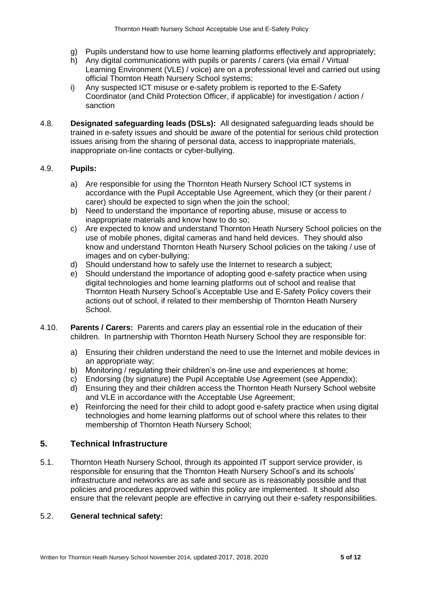- g) Pupils understand how to use home learning platforms effectively and appropriately;
- h) Any digital communications with pupils or parents / carers (via email / Virtual Learning Environment (VLE) / voice) are on a professional level and carried out using official Thornton Heath Nursery School systems;
- i) Any suspected ICT misuse or e-safety problem is reported to the E-Safety Coordinator (and Child Protection Officer, if applicable) for investigation / action / sanction
- 4.8. **Designated safeguarding leads (DSLs):** All designated safeguarding leads should be trained in e-safety issues and should be aware of the potential for serious child protection issues arising from the sharing of personal data, access to inappropriate materials, inappropriate on-line contacts or cyber-bullying.

#### 4.9. **Pupils:**

- a) Are responsible for using the Thornton Heath Nursery School ICT systems in accordance with the Pupil Acceptable Use Agreement, which they (or their parent / carer) should be expected to sign when the join the school;
- b) Need to understand the importance of reporting abuse, misuse or access to inappropriate materials and know how to do so;
- c) Are expected to know and understand Thornton Heath Nursery School policies on the use of mobile phones, digital cameras and hand held devices. They should also know and understand Thornton Heath Nursery School policies on the taking / use of images and on cyber-bullying;
- d) Should understand how to safely use the Internet to research a subject;
- e) Should understand the importance of adopting good e-safety practice when using digital technologies and home learning platforms out of school and realise that Thornton Heath Nursery School's Acceptable Use and E-Safety Policy covers their actions out of school, if related to their membership of Thornton Heath Nursery School.
- 4.10. **Parents / Carers:** Parents and carers play an essential role in the education of their children. In partnership with Thornton Heath Nursery School they are responsible for:
	- a) Ensuring their children understand the need to use the Internet and mobile devices in an appropriate way;
	- b) Monitoring / regulating their children's on-line use and experiences at home;
	- c) Endorsing (by signature) the Pupil Acceptable Use Agreement (see Appendix);
	- d) Ensuring they and their children access the Thornton Heath Nursery School website and VLE in accordance with the Acceptable Use Agreement;
	- e) Reinforcing the need for their child to adopt good e-safety practice when using digital technologies and home learning platforms out of school where this relates to their membership of Thornton Heath Nursery School;

# **5. Technical Infrastructure**

5.1. Thornton Heath Nursery School, through its appointed IT support service provider, is responsible for ensuring that the Thornton Heath Nursery School's and its schools' infrastructure and networks are as safe and secure as is reasonably possible and that policies and procedures approved within this policy are implemented. It should also ensure that the relevant people are effective in carrying out their e-safety responsibilities.

#### 5.2. **General technical safety:**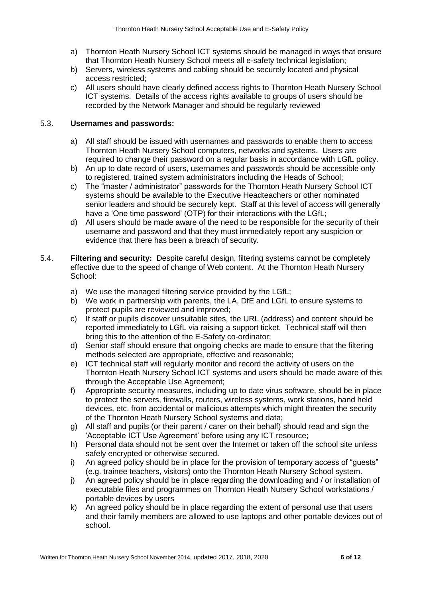- a) Thornton Heath Nursery School ICT systems should be managed in ways that ensure that Thornton Heath Nursery School meets all e-safety technical legislation;
- b) Servers, wireless systems and cabling should be securely located and physical access restricted;
- c) All users should have clearly defined access rights to Thornton Heath Nursery School ICT systems. Details of the access rights available to groups of users should be recorded by the Network Manager and should be regularly reviewed

### 5.3. **Usernames and passwords:**

- a) All staff should be issued with usernames and passwords to enable them to access Thornton Heath Nursery School computers, networks and systems. Users are required to change their password on a regular basis in accordance with LGfL policy.
- b) An up to date record of users, usernames and passwords should be accessible only to registered, trained system administrators including the Heads of School;
- c) The "master / administrator" passwords for the Thornton Heath Nursery School ICT systems should be available to the Executive Headteachers or other nominated senior leaders and should be securely kept. Staff at this level of access will generally have a 'One time password' (OTP) for their interactions with the LGfL;
- d) All users should be made aware of the need to be responsible for the security of their username and password and that they must immediately report any suspicion or evidence that there has been a breach of security.
- 5.4. **Filtering and security:** Despite careful design, filtering systems cannot be completely effective due to the speed of change of Web content. At the Thornton Heath Nursery School:
	- a) We use the managed filtering service provided by the LGfL;
	- b) We work in partnership with parents, the LA, DfE and LGfL to ensure systems to protect pupils are reviewed and improved;
	- c) If staff or pupils discover unsuitable sites, the URL (address) and content should be reported immediately to LGfL via raising a support ticket. Technical staff will then bring this to the attention of the E-Safety co-ordinator;
	- d) Senior staff should ensure that ongoing checks are made to ensure that the filtering methods selected are appropriate, effective and reasonable;
	- e) ICT technical staff will regularly monitor and record the activity of users on the Thornton Heath Nursery School ICT systems and users should be made aware of this through the Acceptable Use Agreement;
	- f) Appropriate security measures, including up to date virus software, should be in place to protect the servers, firewalls, routers, wireless systems, work stations, hand held devices, etc. from accidental or malicious attempts which might threaten the security of the Thornton Heath Nursery School systems and data;
	- g) All staff and pupils (or their parent / carer on their behalf) should read and sign the 'Acceptable ICT Use Agreement' before using any ICT resource;
	- h) Personal data should not be sent over the Internet or taken off the school site unless safely encrypted or otherwise secured.
	- i) An agreed policy should be in place for the provision of temporary access of "guests" (e.g. trainee teachers, visitors) onto the Thornton Heath Nursery School system.
	- j) An agreed policy should be in place regarding the downloading and / or installation of executable files and programmes on Thornton Heath Nursery School workstations / portable devices by users
	- k) An agreed policy should be in place regarding the extent of personal use that users and their family members are allowed to use laptops and other portable devices out of school.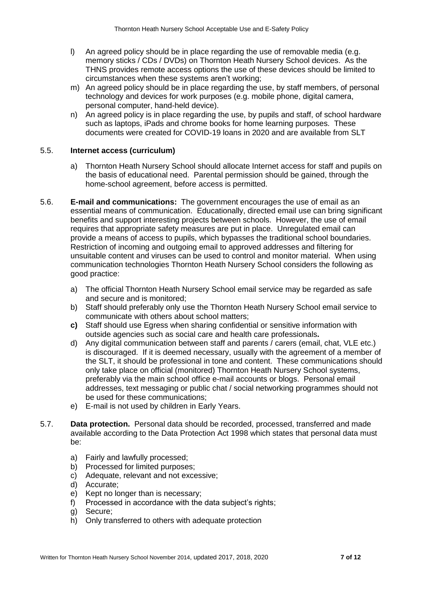- l) An agreed policy should be in place regarding the use of removable media (e.g. memory sticks / CDs / DVDs) on Thornton Heath Nursery School devices. As the THNS provides remote access options the use of these devices should be limited to circumstances when these systems aren't working;
- m) An agreed policy should be in place regarding the use, by staff members, of personal technology and devices for work purposes (e.g. mobile phone, digital camera, personal computer, hand-held device).
- n) An agreed policy is in place regarding the use, by pupils and staff, of school hardware such as laptops, iPads and chrome books for home learning purposes. These documents were created for COVID-19 loans in 2020 and are available from SLT

#### 5.5. **Internet access (curriculum)**

- a) Thornton Heath Nursery School should allocate Internet access for staff and pupils on the basis of educational need. Parental permission should be gained, through the home-school agreement, before access is permitted.
- 5.6. **E-mail and communications:** The government encourages the use of email as an essential means of communication. Educationally, directed email use can bring significant benefits and support interesting projects between schools. However, the use of email requires that appropriate safety measures are put in place. Unregulated email can provide a means of access to pupils, which bypasses the traditional school boundaries. Restriction of incoming and outgoing email to approved addresses and filtering for unsuitable content and viruses can be used to control and monitor material. When using communication technologies Thornton Heath Nursery School considers the following as good practice:
	- a) The official Thornton Heath Nursery School email service may be regarded as safe and secure and is monitored;
	- b) Staff should preferably only use the Thornton Heath Nursery School email service to communicate with others about school matters;
	- **c)** Staff should use Egress when sharing confidential or sensitive information with outside agencies such as social care and health care professionals**.**
	- d) Any digital communication between staff and parents / carers (email, chat, VLE etc.) is discouraged. If it is deemed necessary, usually with the agreement of a member of the SLT, it should be professional in tone and content. These communications should only take place on official (monitored) Thornton Heath Nursery School systems, preferably via the main school office e-mail accounts or blogs. Personal email addresses, text messaging or public chat / social networking programmes should not be used for these communications;
	- e) E-mail is not used by children in Early Years.
- 5.7. **Data protection.** Personal data should be recorded, processed, transferred and made available according to the Data Protection Act 1998 which states that personal data must be:
	- a) Fairly and lawfully processed;
	- b) Processed for limited purposes;
	- c) Adequate, relevant and not excessive;
	- d) Accurate;
	- e) Kept no longer than is necessary;
	- f) Processed in accordance with the data subject's rights:
	- g) Secure;
	- h) Only transferred to others with adequate protection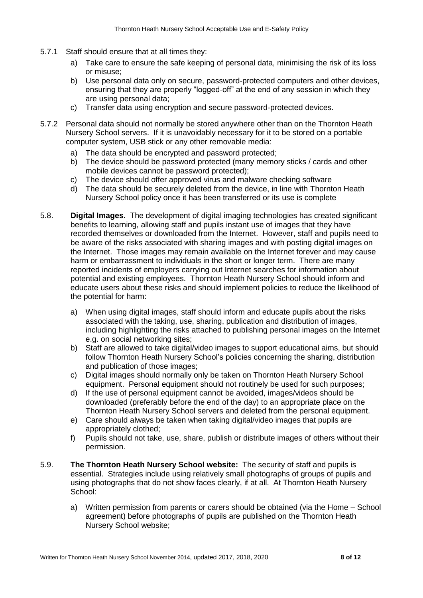- 5.7.1 Staff should ensure that at all times they:
	- a) Take care to ensure the safe keeping of personal data, minimising the risk of its loss or misuse;
	- b) Use personal data only on secure, password-protected computers and other devices, ensuring that they are properly "logged-off" at the end of any session in which they are using personal data;
	- c) Transfer data using encryption and secure password-protected devices.
- 5.7.2 Personal data should not normally be stored anywhere other than on the Thornton Heath Nursery School servers. If it is unavoidably necessary for it to be stored on a portable computer system, USB stick or any other removable media:
	- a) The data should be encrypted and password protected;
	- b) The device should be password protected (many memory sticks / cards and other mobile devices cannot be password protected);
	- c) The device should offer approved virus and malware checking software
	- d) The data should be securely deleted from the device, in line with Thornton Heath Nursery School policy once it has been transferred or its use is complete
- 5.8. **Digital Images.** The development of digital imaging technologies has created significant benefits to learning, allowing staff and pupils instant use of images that they have recorded themselves or downloaded from the Internet. However, staff and pupils need to be aware of the risks associated with sharing images and with posting digital images on the Internet. Those images may remain available on the Internet forever and may cause harm or embarrassment to individuals in the short or longer term. There are many reported incidents of employers carrying out Internet searches for information about potential and existing employees. Thornton Heath Nursery School should inform and educate users about these risks and should implement policies to reduce the likelihood of the potential for harm:
	- a) When using digital images, staff should inform and educate pupils about the risks associated with the taking, use, sharing, publication and distribution of images, including highlighting the risks attached to publishing personal images on the Internet e.g. on social networking sites;
	- b) Staff are allowed to take digital/video images to support educational aims, but should follow Thornton Heath Nursery School's policies concerning the sharing, distribution and publication of those images;
	- c) Digital images should normally only be taken on Thornton Heath Nursery School equipment. Personal equipment should not routinely be used for such purposes;
	- d) If the use of personal equipment cannot be avoided, images/videos should be downloaded (preferably before the end of the day) to an appropriate place on the Thornton Heath Nursery School servers and deleted from the personal equipment.
	- e) Care should always be taken when taking digital/video images that pupils are appropriately clothed;
	- f) Pupils should not take, use, share, publish or distribute images of others without their permission.
- 5.9. **The Thornton Heath Nursery School website:** The security of staff and pupils is essential. Strategies include using relatively small photographs of groups of pupils and using photographs that do not show faces clearly, if at all. At Thornton Heath Nursery School:
	- a) Written permission from parents or carers should be obtained (via the Home School agreement) before photographs of pupils are published on the Thornton Heath Nursery School website;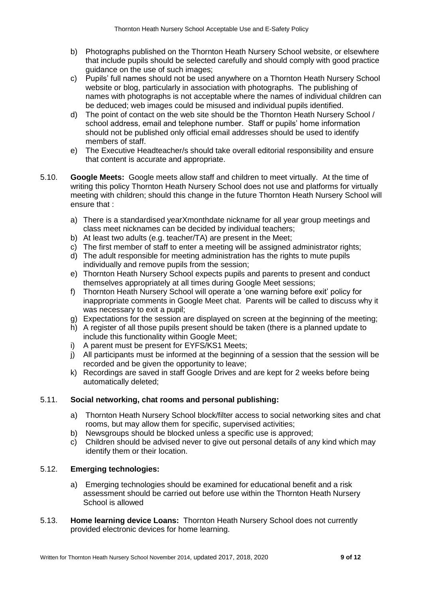- b) Photographs published on the Thornton Heath Nursery School website, or elsewhere that include pupils should be selected carefully and should comply with good practice quidance on the use of such images:
- c) Pupils' full names should not be used anywhere on a Thornton Heath Nursery School website or blog, particularly in association with photographs. The publishing of names with photographs is not acceptable where the names of individual children can be deduced; web images could be misused and individual pupils identified.
- d) The point of contact on the web site should be the Thornton Heath Nursery School / school address, email and telephone number. Staff or pupils' home information should not be published only official email addresses should be used to identify members of staff.
- e) The Executive Headteacher/s should take overall editorial responsibility and ensure that content is accurate and appropriate.
- 5.10. **Google Meets:** Google meets allow staff and children to meet virtually. At the time of writing this policy Thornton Heath Nursery School does not use and platforms for virtually meeting with children; should this change in the future Thornton Heath Nursery School will ensure that :
	- a) There is a standardised yearXmonthdate nickname for all year group meetings and class meet nicknames can be decided by individual teachers;
	- b) At least two adults (e.g. teacher/TA) are present in the Meet;
	- c) The first member of staff to enter a meeting will be assigned administrator rights;
	- d) The adult responsible for meeting administration has the rights to mute pupils individually and remove pupils from the session;
	- e) Thornton Heath Nursery School expects pupils and parents to present and conduct themselves appropriately at all times during Google Meet sessions;
	- f) Thornton Heath Nursery School will operate a 'one warning before exit' policy for inappropriate comments in Google Meet chat. Parents will be called to discuss why it was necessary to exit a pupil;
	- g) Expectations for the session are displayed on screen at the beginning of the meeting;
	- h) A register of all those pupils present should be taken (there is a planned update to include this functionality within Google Meet;
	- i) A parent must be present for EYFS/KS1 Meets;
	- j) All participants must be informed at the beginning of a session that the session will be recorded and be given the opportunity to leave;
	- k) Recordings are saved in staff Google Drives and are kept for 2 weeks before being automatically deleted;

# 5.11. **Social networking, chat rooms and personal publishing:**

- a) Thornton Heath Nursery School block/filter access to social networking sites and chat rooms, but may allow them for specific, supervised activities;
- b) Newsgroups should be blocked unless a specific use is approved;
- c) Children should be advised never to give out personal details of any kind which may identify them or their location.

# 5.12. **Emerging technologies:**

- a) Emerging technologies should be examined for educational benefit and a risk assessment should be carried out before use within the Thornton Heath Nursery School is allowed
- 5.13. **Home learning device Loans:** Thornton Heath Nursery School does not currently provided electronic devices for home learning.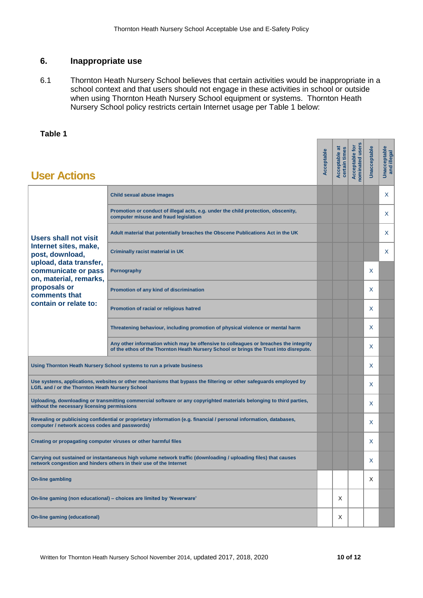## **6. Inappropriate use**

6.1 Thornton Heath Nursery School believes that certain activities would be inappropriate in a school context and that users should not engage in these activities in school or outside when using Thornton Heath Nursery School equipment or systems. Thornton Heath Nursery School policy restricts certain Internet usage per Table 1 below:

# **Table 1**

| <b>User Actions</b>                                                                                                                                                                                           |                                                                                                                                                                               | Acceptable | Acceptable at<br>certain times | Acceptable for<br>nominated users | Unacceptable | <b>Unacceptable</b><br>and illegal |
|---------------------------------------------------------------------------------------------------------------------------------------------------------------------------------------------------------------|-------------------------------------------------------------------------------------------------------------------------------------------------------------------------------|------------|--------------------------------|-----------------------------------|--------------|------------------------------------|
| <b>Users shall not visit</b><br>Internet sites, make,<br>post, download,<br>upload, data transfer,<br>communicate or pass<br>on, material, remarks,<br>proposals or<br>comments that<br>contain or relate to: | <b>Child sexual abuse images</b>                                                                                                                                              |            |                                |                                   |              | X                                  |
|                                                                                                                                                                                                               | Promotion or conduct of illegal acts, e.g. under the child protection, obscenity,<br>computer misuse and fraud legislation                                                    |            |                                |                                   |              | X                                  |
|                                                                                                                                                                                                               | Adult material that potentially breaches the Obscene Publications Act in the UK                                                                                               |            |                                |                                   |              | X                                  |
|                                                                                                                                                                                                               | <b>Criminally racist material in UK</b>                                                                                                                                       |            |                                |                                   |              | X                                  |
|                                                                                                                                                                                                               | Pornography                                                                                                                                                                   |            |                                |                                   | X            |                                    |
|                                                                                                                                                                                                               | Promotion of any kind of discrimination                                                                                                                                       |            |                                |                                   | X            |                                    |
|                                                                                                                                                                                                               | Promotion of racial or religious hatred                                                                                                                                       |            |                                |                                   | X            |                                    |
|                                                                                                                                                                                                               | Threatening behaviour, including promotion of physical violence or mental harm                                                                                                |            |                                |                                   | X            |                                    |
|                                                                                                                                                                                                               | Any other information which may be offensive to colleagues or breaches the integrity<br>of the ethos of the Thornton Heath Nursery School or brings the Trust into disrepute. |            |                                |                                   | X            |                                    |
| Using Thornton Heath Nursery School systems to run a private business                                                                                                                                         |                                                                                                                                                                               |            |                                |                                   | X            |                                    |
| Use systems, applications, websites or other mechanisms that bypass the filtering or other safeguards employed by<br>LGfL and / or the Thornton Heath Nursery School                                          |                                                                                                                                                                               |            |                                |                                   | X            |                                    |
| Uploading, downloading or transmitting commercial software or any copyrighted materials belonging to third parties,<br>without the necessary licensing permissions                                            |                                                                                                                                                                               |            |                                |                                   | X            |                                    |
| Revealing or publicising confidential or proprietary information (e.g. financial / personal information, databases,<br>computer / network access codes and passwords)                                         |                                                                                                                                                                               |            |                                |                                   | X            |                                    |
| Creating or propagating computer viruses or other harmful files                                                                                                                                               |                                                                                                                                                                               |            |                                |                                   | X            |                                    |
| Carrying out sustained or instantaneous high volume network traffic (downloading / uploading files) that causes<br>network congestion and hinders others in their use of the Internet                         |                                                                                                                                                                               |            |                                |                                   | х            |                                    |
| <b>On-line gambling</b>                                                                                                                                                                                       |                                                                                                                                                                               |            |                                |                                   | X            |                                    |
| On-line gaming (non educational) - choices are limited by 'Neverware'                                                                                                                                         |                                                                                                                                                                               |            | X                              |                                   |              |                                    |
| <b>On-line gaming (educational)</b>                                                                                                                                                                           |                                                                                                                                                                               |            | Χ                              |                                   |              |                                    |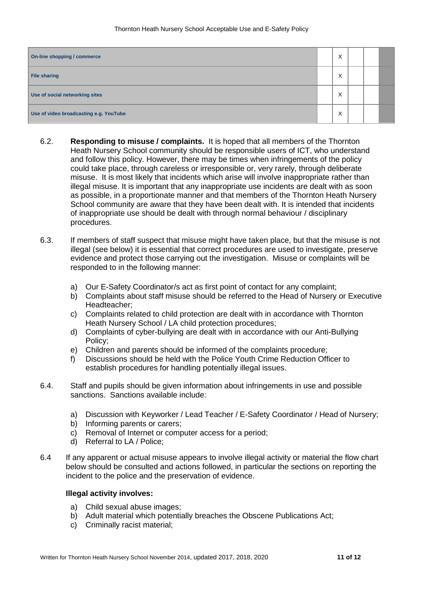| On-line shopping / commerce            |  | X |  |  |
|----------------------------------------|--|---|--|--|
| File sharing                           |  | X |  |  |
| Use of social networking sites         |  | X |  |  |
| Use of video broadcasting e.g. YouTube |  | X |  |  |

- 6.2. **Responding to misuse / complaints.** It is hoped that all members of the Thornton Heath Nursery School community should be responsible users of ICT, who understand and follow this policy. However, there may be times when infringements of the policy could take place, through careless or irresponsible or, very rarely, through deliberate misuse. It is most likely that incidents which arise will involve inappropriate rather than illegal misuse. It is important that any inappropriate use incidents are dealt with as soon as possible, in a proportionate manner and that members of the Thornton Heath Nursery School community are aware that they have been dealt with. It is intended that incidents of inappropriate use should be dealt with through normal behaviour / disciplinary procedures.
- 6.3. If members of staff suspect that misuse might have taken place, but that the misuse is not illegal (see below) it is essential that correct procedures are used to investigate, preserve evidence and protect those carrying out the investigation. Misuse or complaints will be responded to in the following manner:
	- a) Our E-Safety Coordinator/s act as first point of contact for any complaint;
	- b) Complaints about staff misuse should be referred to the Head of Nursery or Executive Headteacher;
	- c) Complaints related to child protection are dealt with in accordance with Thornton Heath Nursery School / LA child protection procedures;
	- d) Complaints of cyber-bullying are dealt with in accordance with our Anti-Bullying Policy;
	- e) Children and parents should be informed of the complaints procedure;
	- f) Discussions should be held with the Police Youth Crime Reduction Officer to establish procedures for handling potentially illegal issues.
- 6.4. Staff and pupils should be given information about infringements in use and possible sanctions. Sanctions available include:
	- a) Discussion with Keyworker / Lead Teacher / E-Safety Coordinator / Head of Nursery;
	- b) Informing parents or carers;
	- c) Removal of Internet or computer access for a period;
	- d) Referral to LA / Police;
- 6.4 If any apparent or actual misuse appears to involve illegal activity or material the flow chart below should be consulted and actions followed, in particular the sections on reporting the incident to the police and the preservation of evidence.

#### **Illegal activity involves:**

- a) Child sexual abuse images;
- b) Adult material which potentially breaches the Obscene Publications Act;
- c) Criminally racist material;